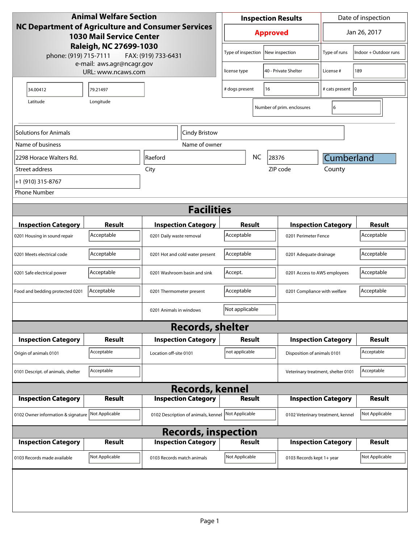| <b>Animal Welfare Section</b>                                                         |                                                 |                              | <b>Inspection Results</b>           |                                            |                                   | Date of inspection          |                                    |                |
|---------------------------------------------------------------------------------------|-------------------------------------------------|------------------------------|-------------------------------------|--------------------------------------------|-----------------------------------|-----------------------------|------------------------------------|----------------|
| NC Department of Agriculture and Consumer Services<br><b>1030 Mail Service Center</b> |                                                 |                              | <b>Approved</b>                     |                                            |                                   | Jan 26, 2017                |                                    |                |
| Raleigh, NC 27699-1030<br>phone: (919) 715-7111<br>FAX: (919) 733-6431                |                                                 |                              |                                     |                                            | Type of inspection New inspection | Type of runs                | Indoor + Outdoor runs              |                |
|                                                                                       | e-mail: aws.agr@ncagr.gov<br>URL: www.ncaws.com |                              |                                     | license type                               |                                   | 40 - Private Shelter        | License #                          | 189            |
| 34.00412                                                                              | 79.21497                                        |                              |                                     | # dogs present<br>16                       |                                   |                             | # cats present   0                 |                |
| Latitude                                                                              | Longitude                                       |                              |                                     |                                            |                                   | Number of prim. enclosures  | 6                                  |                |
| Solutions for Animals                                                                 |                                                 |                              | Cindy Bristow                       |                                            |                                   |                             |                                    |                |
| Name of business                                                                      |                                                 |                              | Name of owner                       |                                            |                                   |                             |                                    |                |
| 2298 Horace Walters Rd.                                                               |                                                 | Raeford                      |                                     |                                            | <b>NC</b>                         | 28376                       | <b>Cumberland</b>                  |                |
| Street address                                                                        |                                                 | City                         |                                     |                                            |                                   | ZIP code                    | County                             |                |
| +1 (910) 315-8767                                                                     |                                                 |                              |                                     |                                            |                                   |                             |                                    |                |
| <b>Phone Number</b>                                                                   |                                                 |                              |                                     |                                            |                                   |                             |                                    |                |
|                                                                                       |                                                 |                              | <b>Facilities</b>                   |                                            |                                   |                             |                                    |                |
|                                                                                       |                                                 |                              |                                     |                                            |                                   |                             |                                    | <b>Result</b>  |
| <b>Inspection Category</b>                                                            | <b>Result</b><br>Acceptable                     |                              | <b>Inspection Category</b>          | Result                                     |                                   |                             | <b>Inspection Category</b>         |                |
| 0201 Housing in sound repair                                                          |                                                 | 0201 Daily waste removal     |                                     | Acceptable                                 |                                   | 0201 Perimeter Fence        |                                    | Acceptable     |
| 0201 Meets electrical code                                                            | Acceptable                                      |                              | 0201 Hot and cold water present     | Acceptable                                 |                                   |                             | 0201 Adequate drainage             |                |
| 0201 Safe electrical power                                                            | Acceptable                                      | 0201 Washroom basin and sink |                                     | Accept.                                    |                                   |                             | 0201 Access to AWS employees       |                |
| Food and bedding protected 0201                                                       | Acceptable<br>0201 Thermometer present          |                              |                                     | Acceptable<br>0201 Compliance with welfare |                                   |                             | Acceptable                         |                |
|                                                                                       |                                                 | 0201 Animals in windows      |                                     | Not applicable                             |                                   |                             |                                    |                |
|                                                                                       |                                                 |                              | <b>Records, shelter</b>             |                                            |                                   |                             |                                    |                |
| <b>Inspection Category</b>                                                            | Result                                          |                              | <b>Inspection Category</b>          | Result                                     |                                   |                             | <b>Inspection Category</b>         | <b>Result</b>  |
| Origin of animals 0101                                                                | Acceptable                                      | Location off-site 0101       |                                     | not applicable                             |                                   | Disposition of animals 0101 |                                    | Acceptable     |
| 0101 Descript. of animals, shelter                                                    | Acceptable                                      |                              |                                     |                                            |                                   |                             | Veterinary treatment, shelter 0101 | Acceptable     |
|                                                                                       |                                                 |                              | <b>Records, kennel</b>              |                                            |                                   |                             |                                    |                |
| <b>Inspection Category</b>                                                            | <b>Result</b>                                   |                              | <b>Inspection Category</b>          | <b>Result</b>                              |                                   |                             | <b>Inspection Category</b>         | <b>Result</b>  |
| 0102 Owner information & signature Not Applicable                                     |                                                 |                              | 0102 Description of animals, kennel | Not Applicable                             |                                   |                             | 0102 Veterinary treatment, kennel  | Not Applicable |
|                                                                                       |                                                 |                              | <b>Records, inspection</b>          |                                            |                                   |                             |                                    |                |
| <b>Inspection Category</b>                                                            | <b>Result</b>                                   |                              | <b>Inspection Category</b>          | <b>Result</b>                              |                                   |                             | <b>Inspection Category</b>         | <b>Result</b>  |
| 0103 Records made available                                                           | Not Applicable                                  | 0103 Records match animals   |                                     | Not Applicable                             |                                   | 0103 Records kept 1+ year   |                                    | Not Applicable |
|                                                                                       |                                                 |                              |                                     |                                            |                                   |                             |                                    |                |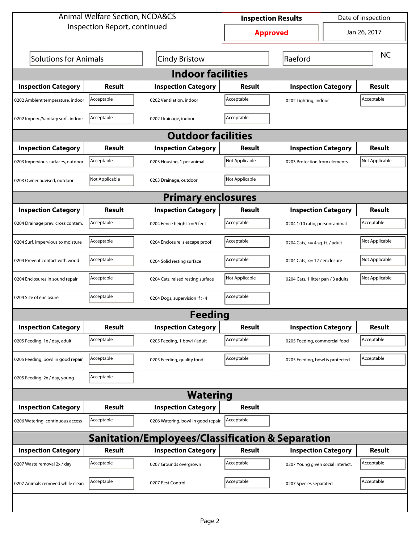| <b>Animal Welfare Section, NCDA&amp;CS</b>                  |                |                                    | <b>Inspection Results</b>       | Date of inspection                |                                    |                |  |
|-------------------------------------------------------------|----------------|------------------------------------|---------------------------------|-----------------------------------|------------------------------------|----------------|--|
| Inspection Report, continued                                |                |                                    | Jan 26, 2017<br><b>Approved</b> |                                   |                                    |                |  |
| <b>Solutions for Animals</b><br><b>Cindy Bristow</b>        |                |                                    |                                 | Raeford                           |                                    | <b>NC</b>      |  |
| <b>Indoor facilities</b>                                    |                |                                    |                                 |                                   |                                    |                |  |
| <b>Inspection Category</b>                                  | Result         | <b>Inspection Category</b>         | Result                          | <b>Inspection Category</b>        |                                    | Result         |  |
| 0202 Ambient temperature, indoor                            | Acceptable     | 0202 Ventilation, indoor           | Acceptable                      | 0202 Lighting, indoor             |                                    | Acceptable     |  |
| 0202 Imperv./Sanitary surf., indoor                         | Acceptable     | 0202 Drainage, indoor              | Acceptable                      |                                   |                                    |                |  |
|                                                             |                | <b>Outdoor facilities</b>          |                                 |                                   |                                    |                |  |
| <b>Inspection Category</b>                                  | Result         | <b>Inspection Category</b>         | Result                          | <b>Inspection Category</b>        |                                    | <b>Result</b>  |  |
| 0203 Impervious surfaces, outdoor                           | Acceptable     | 0203 Housing, 1 per animal         | Not Applicable                  | 0203 Protection from elements     |                                    | Not Applicable |  |
| 0203 Owner advised, outdoor                                 | Not Applicable | 0203 Drainage, outdoor             | Not Applicable                  |                                   |                                    |                |  |
|                                                             |                | <b>Primary enclosures</b>          |                                 |                                   |                                    |                |  |
| <b>Inspection Category</b>                                  | Result         | <b>Inspection Category</b>         | <b>Result</b>                   | <b>Inspection Category</b>        |                                    | <b>Result</b>  |  |
| 0204 Drainage prev. cross contam.                           | Acceptable     | 0204 Fence height >= 5 feet        | Acceptable                      |                                   | 0204 1:10 ratio, person: animal    |                |  |
| 0204 Surf. impervious to moisture                           | Acceptable     | 0204 Enclosure is escape proof     | Acceptable                      | 0204 Cats, $>=$ 4 sq. ft. / adult |                                    | Not Applicable |  |
| 0204 Prevent contact with wood                              | Acceptable     | 0204 Solid resting surface         | Acceptable                      | 0204 Cats, $<= 12$ / enclosure    |                                    | Not Applicable |  |
| 0204 Enclosures in sound repair                             | Acceptable     | 0204 Cats, raised resting surface  | Not Applicable                  |                                   | 0204 Cats, 1 litter pan / 3 adults |                |  |
| 0204 Size of enclosure                                      | Acceptable     | 0204 Dogs, supervision if > 4      | Acceptable                      |                                   |                                    |                |  |
|                                                             |                | <b>Feeding</b>                     |                                 |                                   |                                    |                |  |
| <b>Inspection Category</b>                                  | <b>Result</b>  | <b>Inspection Category</b>         | <b>Result</b>                   | <b>Inspection Category</b>        |                                    | <b>Result</b>  |  |
| 0205 Feeding, 1x / day, adult                               | Acceptable     | 0205 Feeding, 1 bowl / adult       | Acceptable                      | 0205 Feeding, commercial food     |                                    | Acceptable     |  |
| 0205 Feeding, bowl in good repair                           | Acceptable     | 0205 Feeding, quality food         | Acceptable                      | 0205 Feeding, bowl is protected   |                                    | Acceptable     |  |
| 0205 Feeding, 2x / day, young                               | Acceptable     |                                    |                                 |                                   |                                    |                |  |
|                                                             |                | <b>Watering</b>                    |                                 |                                   |                                    |                |  |
| <b>Inspection Category</b>                                  | <b>Result</b>  | <b>Inspection Category</b>         | <b>Result</b>                   |                                   |                                    |                |  |
| 0206 Watering, continuous access                            | Acceptable     | 0206 Watering, bowl in good repair | Acceptable                      |                                   |                                    |                |  |
| <b>Sanitation/Employees/Classification &amp; Separation</b> |                |                                    |                                 |                                   |                                    |                |  |
| <b>Inspection Category</b>                                  | <b>Result</b>  | <b>Inspection Category</b>         | <b>Result</b>                   | <b>Inspection Category</b>        |                                    | <b>Result</b>  |  |
| 0207 Waste removal 2x / day                                 | Acceptable     | 0207 Grounds overgrown             | Acceptable                      | 0207 Young given social interact. |                                    | Acceptable     |  |
| 0207 Animals removed while clean                            | Acceptable     | 0207 Pest Control                  | Acceptable                      | 0207 Species separated            |                                    | Acceptable     |  |
|                                                             |                |                                    |                                 |                                   |                                    |                |  |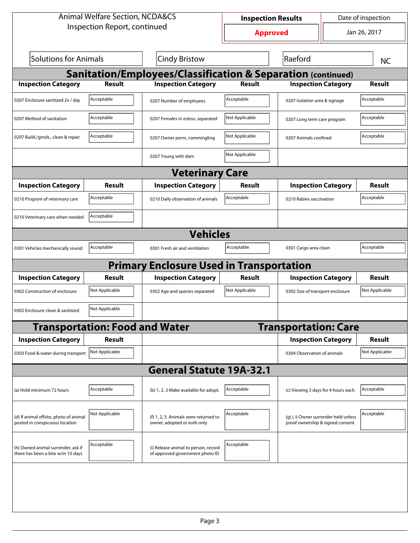| <b>Animal Welfare Section, NCDA&amp;CS</b>                               |                                       |                                                                         | Date of inspection<br><b>Inspection Results</b> |                                                                           |                       |                |  |  |
|--------------------------------------------------------------------------|---------------------------------------|-------------------------------------------------------------------------|-------------------------------------------------|---------------------------------------------------------------------------|-----------------------|----------------|--|--|
| Inspection Report, continued                                             |                                       | <b>Approved</b>                                                         |                                                 | Jan 26, 2017                                                              |                       |                |  |  |
| Solutions for Animals                                                    |                                       | Cindy Bristow                                                           |                                                 | Raeford                                                                   |                       | <b>NC</b>      |  |  |
| <b>Sanitation/Employees/Classification &amp; Separation (continued)</b>  |                                       |                                                                         |                                                 |                                                                           |                       |                |  |  |
| <b>Inspection Category</b>                                               | <b>Result</b>                         | <b>Inspection Category</b>                                              | <b>Result</b>                                   | <b>Inspection Category</b>                                                |                       | <b>Result</b>  |  |  |
| 0207 Enclosure sanitized 2x / day                                        | Acceptable                            | 0207 Number of employees                                                | Acceptable                                      | 0207 Isolation area & signage                                             |                       | Acceptable     |  |  |
| 0207 Method of sanitation                                                | Acceptable                            | 0207 Females in estrus, separated                                       | Not Applicable                                  | 0207 Long term care program                                               |                       | Acceptable     |  |  |
| 0207 Build./grnds., clean & repair                                       | Acceptable                            | 0207 Owner perm, commingling                                            | Not Applicable                                  |                                                                           | 0207 Animals confined |                |  |  |
|                                                                          |                                       | 0207 Young with dam                                                     | Not Applicable                                  |                                                                           |                       |                |  |  |
|                                                                          |                                       | <b>Veterinary Care</b>                                                  |                                                 |                                                                           |                       |                |  |  |
| <b>Inspection Category</b>                                               | Result                                | <b>Inspection Category</b>                                              | Result                                          | <b>Inspection Category</b>                                                |                       | Result         |  |  |
| 0210 Program of veterinary care                                          | Acceptable                            | 0210 Daily observation of animals                                       | Acceptable                                      | 0210 Rabies vaccination                                                   |                       | Acceptable     |  |  |
| 0210 Veterinary care when needed                                         | Acceptable                            |                                                                         |                                                 |                                                                           |                       |                |  |  |
|                                                                          |                                       | <b>Vehicles</b>                                                         |                                                 |                                                                           |                       |                |  |  |
| 0301 Vehicles mechanically sound                                         | Acceptable                            | 0301 Fresh air and ventilation                                          | Acceptable                                      | 0301 Cargo area clean                                                     |                       | Acceptable     |  |  |
|                                                                          |                                       | <b>Primary Enclosure Used in Transportation</b>                         |                                                 |                                                                           |                       |                |  |  |
| <b>Inspection Category</b>                                               | Result                                | <b>Inspection Category</b>                                              | Result                                          | <b>Inspection Category</b>                                                |                       | Result         |  |  |
| 0302 Construction of enclosure                                           | Not Applicable                        | 0302 Age and species separated                                          | Not Applicable                                  | 0302 Size of transport enclosure                                          |                       | Not Applicable |  |  |
| 0302 Enclosure clean & sanitized                                         | Not Applicable                        |                                                                         |                                                 |                                                                           |                       |                |  |  |
|                                                                          | <b>Transportation: Food and Water</b> |                                                                         |                                                 | <b>Transportation: Care</b>                                               |                       |                |  |  |
| <b>Inspection Category</b>                                               | Result                                |                                                                         |                                                 | <b>Inspection Category</b>                                                |                       | <b>Result</b>  |  |  |
| 0303 Food & water during transport                                       | Not Applicable                        |                                                                         |                                                 | 0304 Observation of animals                                               |                       | Not Applicable |  |  |
|                                                                          |                                       | <b>General Statute 19A-32.1</b>                                         |                                                 |                                                                           |                       |                |  |  |
| (a) Hold minimum 72 hours                                                | Acceptable                            | (b) 1, 2, 3 Make available for adopt.                                   | Acceptable                                      | (c) Viewing 3 days for 4 hours each                                       |                       | Acceptable     |  |  |
| (d) If animal offsite, photo of animal<br>posted in conspicuous location | Not Applicable                        | (f) 1, 2, 3 Animals were returned to<br>owner, adopted or euth only     | Acceptable                                      | (g) i, ii Owner surrender held unless<br>proof ownership & signed consent |                       | Acceptable     |  |  |
| (h) Owned animal surrender, ask if<br>there has been a bite w/in 10 days | Acceptable                            | (i) Release animal to person, record<br>of approved government photo ID | Acceptable                                      |                                                                           |                       |                |  |  |
|                                                                          |                                       |                                                                         |                                                 |                                                                           |                       |                |  |  |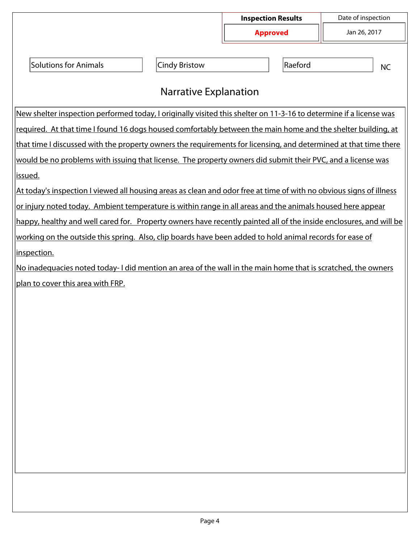|                                                                                                                     |                       | <b>Inspection Results</b> | Date of inspection |              |  |  |
|---------------------------------------------------------------------------------------------------------------------|-----------------------|---------------------------|--------------------|--------------|--|--|
|                                                                                                                     |                       | <b>Approved</b>           |                    | Jan 26, 2017 |  |  |
| <b>Solutions for Animals</b>                                                                                        | <b>Cindy Bristow</b>  | Raeford                   |                    | <b>NC</b>    |  |  |
|                                                                                                                     | Narrative Explanation |                           |                    |              |  |  |
| New shelter inspection performed today, I originally visited this shelter on 11-3-16 to determine if a license was  |                       |                           |                    |              |  |  |
| required. At that time I found 16 dogs housed comfortably between the main home and the shelter building, at        |                       |                           |                    |              |  |  |
| that time I discussed with the property owners the requirements for licensing, and determined at that time there    |                       |                           |                    |              |  |  |
| would be no problems with issuing that license. The property owners did submit their PVC, and a license was         |                       |                           |                    |              |  |  |
| issued.                                                                                                             |                       |                           |                    |              |  |  |
| At today's inspection I viewed all housing areas as clean and odor free at time of with no obvious signs of illness |                       |                           |                    |              |  |  |
| or injury noted today. Ambient temperature is within range in all areas and the animals housed here appear          |                       |                           |                    |              |  |  |
| happy, healthy and well cared for. Property owners have recently painted all of the inside enclosures, and will be  |                       |                           |                    |              |  |  |
| working on the outside this spring. Also, clip boards have been added to hold animal records for ease of            |                       |                           |                    |              |  |  |
| inspection.                                                                                                         |                       |                           |                    |              |  |  |
| No inadequacies noted today-I did mention an area of the wall in the main home that is scratched, the owners        |                       |                           |                    |              |  |  |
| plan to cover this area with FRP.                                                                                   |                       |                           |                    |              |  |  |
|                                                                                                                     |                       |                           |                    |              |  |  |
|                                                                                                                     |                       |                           |                    |              |  |  |